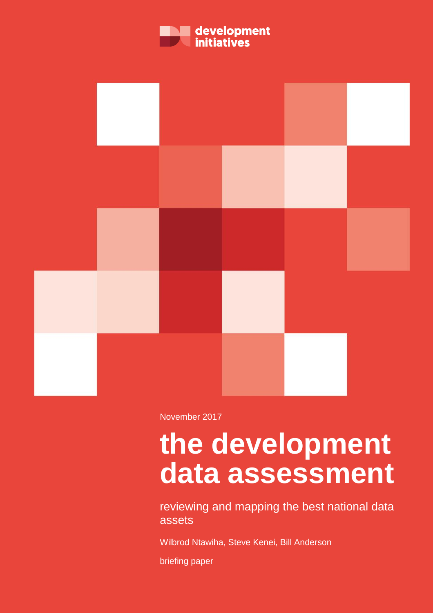



November 2017

# **the development data assessment**

reviewing and mapping the best national data assets

Wilbrod Ntawiha, Steve Kenei, Bill Anderson

briefing paper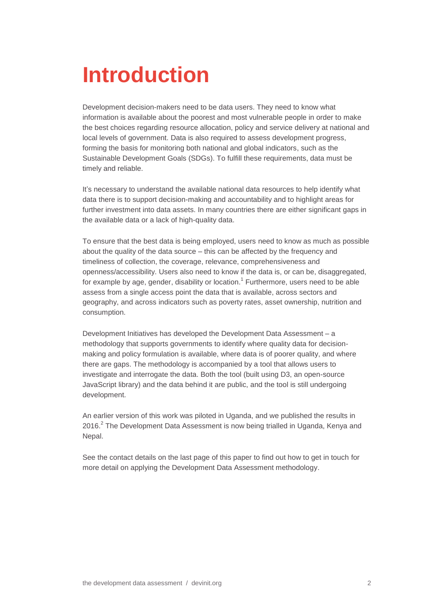# **Introduction**

Development decision-makers need to be data users. They need to know what information is available about the poorest and most vulnerable people in order to make the best choices regarding resource allocation, policy and service delivery at national and local levels of government. Data is also required to assess development progress, forming the basis for monitoring both national and global indicators, such as the Sustainable Development Goals (SDGs). To fulfill these requirements, data must be timely and reliable.

It's necessary to understand the available national data resources to help identify what data there is to support decision-making and accountability and to highlight areas for further investment into data assets. In many countries there are either significant gaps in the available data or a lack of high-quality data.

To ensure that the best data is being employed, users need to know as much as possible about the quality of the data source – this can be affected by the frequency and timeliness of collection, the coverage, relevance, comprehensiveness and openness/accessibility. Users also need to know if the data is, or can be, disaggregated, for example by age, gender, disability or location.<sup>1</sup> Furthermore, users need to be able assess from a single access point the data that is available, across sectors and geography, and across indicators such as poverty rates, asset ownership, nutrition and consumption.

Development Initiatives has developed the Development Data Assessment – a methodology that supports governments to identify where quality data for decisionmaking and policy formulation is available, where data is of poorer quality, and where there are gaps. The methodology is accompanied by a tool that allows users to investigate and interrogate the data. Both the tool (built using D3, an open-source JavaScript library) and the data behind it are public, and the tool is still undergoing development.

An earlier version of this work was piloted in Uganda, and we published the results in 2016.<sup>2</sup> The Development Data Assessment is now being trialled in Uganda, Kenya and Nepal.

See the contact details on the last page of this paper to find out how to get in touch for more detail on applying the Development Data Assessment methodology.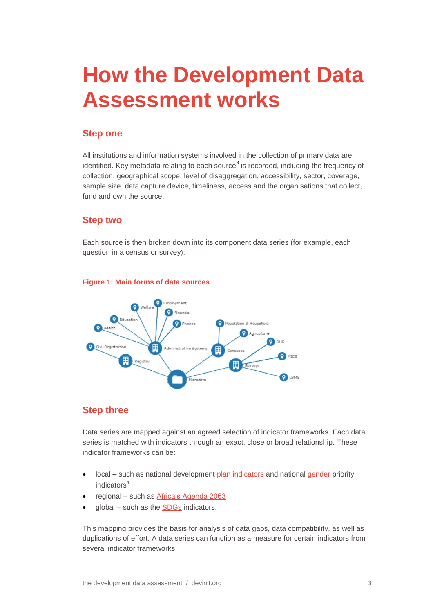# **How the Development Data Assessment works**

### **Step one**

All institutions and information systems involved in the collection of primary data are identified. Key metadata relating to each source<sup>3</sup> is recorded, including the frequency of collection, geographical scope, level of disaggregation, accessibility, sector, coverage, sample size, data capture device, timeliness, access and the organisations that collect, fund and own the source.

### **Step two**

Each source is then broken down into its component data series (for example, each question in a census or survey).



### **Step three**

Data series are mapped against an agreed selection of indicator frameworks. Each data series is matched with indicators through an exact, close or broad relationship. These indicator frameworks can be:

- local such as national development [plan indicators](http://npa.ug/development-plans/national-development-plan-ndp/) and national [gender](http://npa.ug/wp-content/uploads/2017/08/FINAL-Review-Report.pdf) priority indicators<sup>4</sup>
- regional such as [Africa's Agenda 2063](https://au.int/en/agenda2063)
- global such as the [SDGs](http://www.un.org/sustainabledevelopment/sustainable-development-goals/) indicators.

This mapping provides the basis for analysis of data gaps, data compatibility, as well as duplications of effort. A data series can function as a measure for certain indicators from several indicator frameworks.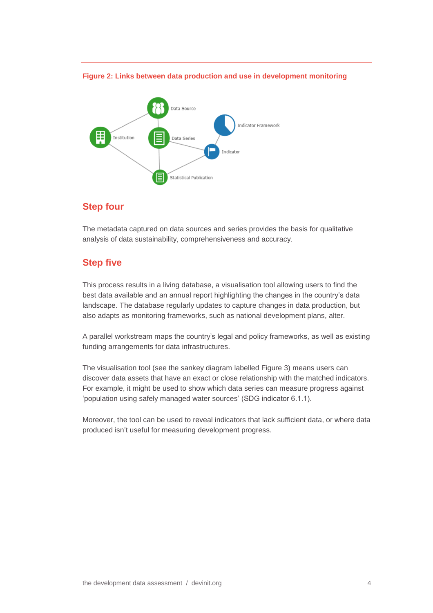#### **Figure 2: Links between data production and use in development monitoring**



### **Step four**

The metadata captured on data sources and series provides the basis for qualitative analysis of data sustainability, comprehensiveness and accuracy.

### **Step five**

This process results in a living database, a visualisation tool allowing users to find the best data available and an annual report highlighting the changes in the country's data landscape. The database regularly updates to capture changes in data production, but also adapts as monitoring frameworks, such as national development plans, alter.

A parallel workstream maps the country's legal and policy frameworks, as well as existing funding arrangements for data infrastructures.

The visualisation tool (see the sankey diagram labelled Figure 3) means users can discover data assets that have an exact or close relationship with the matched indicators. For example, it might be used to show which data series can measure progress against 'population using safely managed water sources' (SDG indicator 6.1.1).

Moreover, the tool can be used to reveal indicators that lack sufficient data, or where data produced isn't useful for measuring development progress.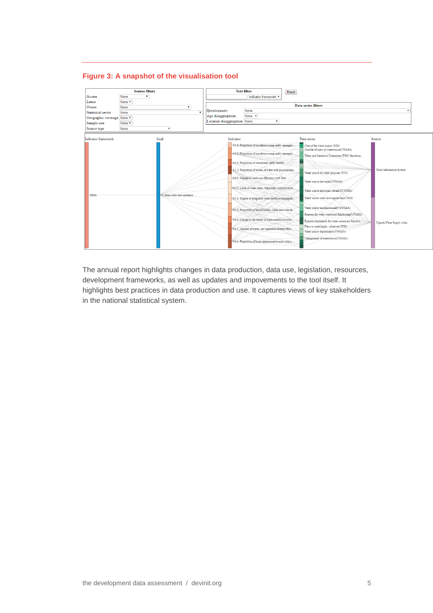### **Figure 3: A snapshot of the visualisation tool**

|                                | <b>Source filters</b>         |                                     | <b>Text filter</b>                                                                                                                                                                                                                                                                                                                                                                               | Reset                                                                                                                                                                                                                                                                                            |                           |
|--------------------------------|-------------------------------|-------------------------------------|--------------------------------------------------------------------------------------------------------------------------------------------------------------------------------------------------------------------------------------------------------------------------------------------------------------------------------------------------------------------------------------------------|--------------------------------------------------------------------------------------------------------------------------------------------------------------------------------------------------------------------------------------------------------------------------------------------------|---------------------------|
| None<br>Access<br>$\mathbf{v}$ |                               | Indicator framework v               |                                                                                                                                                                                                                                                                                                                                                                                                  |                                                                                                                                                                                                                                                                                                  |                           |
| Latest                         | None v                        |                                     |                                                                                                                                                                                                                                                                                                                                                                                                  |                                                                                                                                                                                                                                                                                                  |                           |
| Owner                          | <b>None</b><br>$\mathbf{v}$   | Data series filters                 |                                                                                                                                                                                                                                                                                                                                                                                                  |                                                                                                                                                                                                                                                                                                  |                           |
| Statistical sector             | $\mathbf{r}$<br>None          | Ouestionnaire<br>Age disaggregation | None                                                                                                                                                                                                                                                                                                                                                                                             |                                                                                                                                                                                                                                                                                                  |                           |
|                                | Geographic coverage None      |                                     | None v                                                                                                                                                                                                                                                                                                                                                                                           |                                                                                                                                                                                                                                                                                                  |                           |
| Sample size                    | None v                        |                                     | Location disaggregation None<br>$\pmb{\mathrm{v}}$                                                                                                                                                                                                                                                                                                                                               |                                                                                                                                                                                                                                                                                                  |                           |
| Source type                    | None<br>۰.                    |                                     |                                                                                                                                                                                                                                                                                                                                                                                                  |                                                                                                                                                                                                                                                                                                  |                           |
| Indicator framework            | Goal                          | Indicator                           |                                                                                                                                                                                                                                                                                                                                                                                                  | Data series                                                                                                                                                                                                                                                                                      | Source                    |
| <b>SDGs</b>                    | 6: clean water and sanitation |                                     | 6.1.1. Proportion of population using safely managed<br>-6.2.1: Proportion of population using safely managed.<br>-6.3.1: Proportion of wastewater safely treated<br>-6.3.2: Proportion of bodies of water with good ambien<br>6.4.1: Change in water use efficiency over time<br>6.4.2: Level of water stress: freshwater withdrawal as<br>6.5.1: Degree of integrated water resources managem. | Uses of the water source (WIS)<br>Number of users of watersource(UWASA)<br>Water and Sanitation Committee (WSC) functiona<br>Water source for other purposes (WIS)<br>Water source last repair(UWASA)<br>Water source last repair (details)(UWASA)<br>Water souces used on a regular basis (WIS) | Water Information System  |
|                                |                               |                                     | 6.5.2: Proportion of transboundary basin area with an                                                                                                                                                                                                                                                                                                                                            | Water source last functionality(UWASA)<br>Reasons for water source not functioning(UWASA)                                                                                                                                                                                                        |                           |
|                                |                               |                                     | 6.6.1: Change in the extent of water-related ecosyste<br>6.a.1: Amount of water- and sanitation-related offici                                                                                                                                                                                                                                                                                   | Reasons (explained) for water source not function.<br>Place to wash hands - observed (WIS)<br>Water source functionality(UWASA)                                                                                                                                                                  | Uganda Water Supply Atlas |
|                                |                               |                                     | 6.b.1: Proportion of local administrative units with e                                                                                                                                                                                                                                                                                                                                           | Management of watersource(UWASA)                                                                                                                                                                                                                                                                 |                           |

The annual report highlights changes in data production, data use, legislation, resources, development frameworks, as well as updates and impovements to the tool itself. It highlights best practices in data production and use. It captures views of key stakeholders in the national statistical system.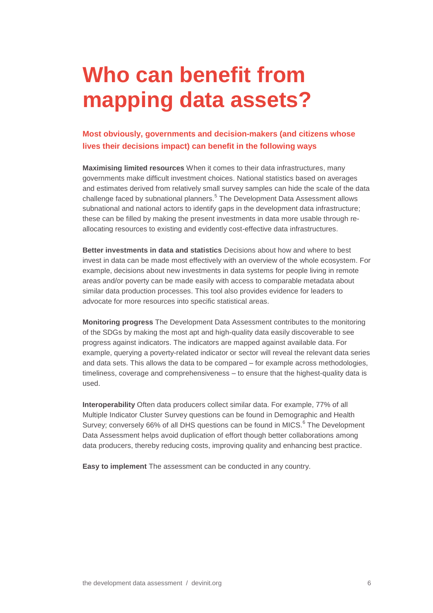# **Who can benefit from mapping data assets?**

### **Most obviously, governments and decision-makers (and citizens whose lives their decisions impact) can benefit in the following ways**

**Maximising limited resources** When it comes to their data infrastructures, many governments make difficult investment choices. National statistics based on averages and estimates derived from relatively small survey samples can hide the scale of the data challenge faced by subnational planners.<sup>5</sup> The Development Data Assessment allows subnational and national actors to identify gaps in the development data infrastructure; these can be filled by making the present investments in data more usable through reallocating resources to existing and evidently cost-effective data infrastructures.

**Better investments in data and statistics** Decisions about how and where to best invest in data can be made most effectively with an overview of the whole ecosystem. For example, decisions about new investments in data systems for people living in remote areas and/or poverty can be made easily with access to comparable metadata about similar data production processes. This tool also provides evidence for leaders to advocate for more resources into specific statistical areas.

**Monitoring progress** The Development Data Assessment contributes to the monitoring of the SDGs by making the most apt and high-quality data easily discoverable to see progress against indicators. The indicators are mapped against available data. For example, querying a poverty-related indicator or sector will reveal the relevant data series and data sets. This allows the data to be compared – for example across methodologies, timeliness, coverage and comprehensiveness – to ensure that the highest-quality data is used.

**Interoperability** Often data producers collect similar data. For example, 77% of all Multiple Indicator Cluster Survey questions can be found in Demographic and Health Survey; conversely 66% of all DHS questions can be found in MICS.<sup>6</sup> The Development Data Assessment helps avoid duplication of effort though better collaborations among data producers, thereby reducing costs, improving quality and enhancing best practice.

**Easy to implement** The assessment can be conducted in any country.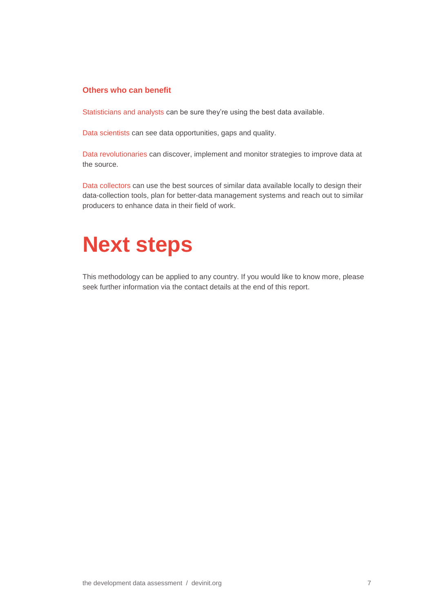### **Others who can benefit**

Statisticians and analysts can be sure they're using the best data available.

Data scientists can see data opportunities, gaps and quality.

Data revolutionaries can discover, implement and monitor strategies to improve data at the source.

Data collectors can use the best sources of similar data available locally to design their data-collection tools, plan for better-data management systems and reach out to similar producers to enhance data in their field of work.

# **Next steps**

This methodology can be applied to any country. If you would like to know more, please seek further information via the contact details at the end of this report.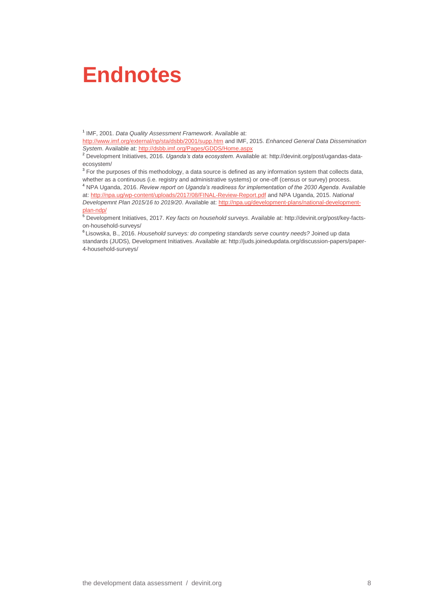## **Endnotes**

1 IMF, 2001. *Data Quality Assessment Framework*. Available at:

<http://www.imf.org/external/np/sta/dsbb/2001/supp.htm> and IMF, 2015. *Enhanced General Data Dissemination System*. Available at[: http://dsbb.imf.org/Pages/GDDS/Home.aspx](http://dsbb.imf.org/Pages/GDDS/Home.aspx)

<sup>2</sup> Development Initiatives, 2016. *Uganda's data ecosystem*. Available at: [http://devinit.org/post/ugandas-data](http://devinit.org/post/ugandas-data-ecosystem/)[ecosystem/](http://devinit.org/post/ugandas-data-ecosystem/)

<sup>3</sup> For the purposes of this methodology, a data source is defined as any information system that collects data, whether as a continuous (i.e. registry and administrative systems) or one-off (census or survey) process.

<sup>4</sup> NPA Uganda, 2016. *Review report on Uganda's readiness for implementation of the 2030 Agenda*. Available at[: http://npa.ug/wp-content/uploads/2017/08/FINAL-Review-Report.pdf](http://npa.ug/wp-content/uploads/2017/08/FINAL-Review-Report.pdf) and NPA Uganda, 2015. *National Developemnt Plan 2015/16 to 2019/20*. Available at[: http://npa.ug/development-plans/national-development](http://npa.ug/development-plans/national-development-plan-ndp/)[plan-ndp/](http://npa.ug/development-plans/national-development-plan-ndp/)

<sup>5</sup> Development Initiatives, 2017. *Key facts on household surveys*. Available at: http://devinit.org/post/key-factson-household-surveys/

6 Lisowska, B., 2016. *Household surveys: do competing standards serve country needs?* Joined up data standards (JUDS), Development Initiatives. Available at: http://juds.joinedupdata.org/discussion-papers/paper-4-household-surveys/